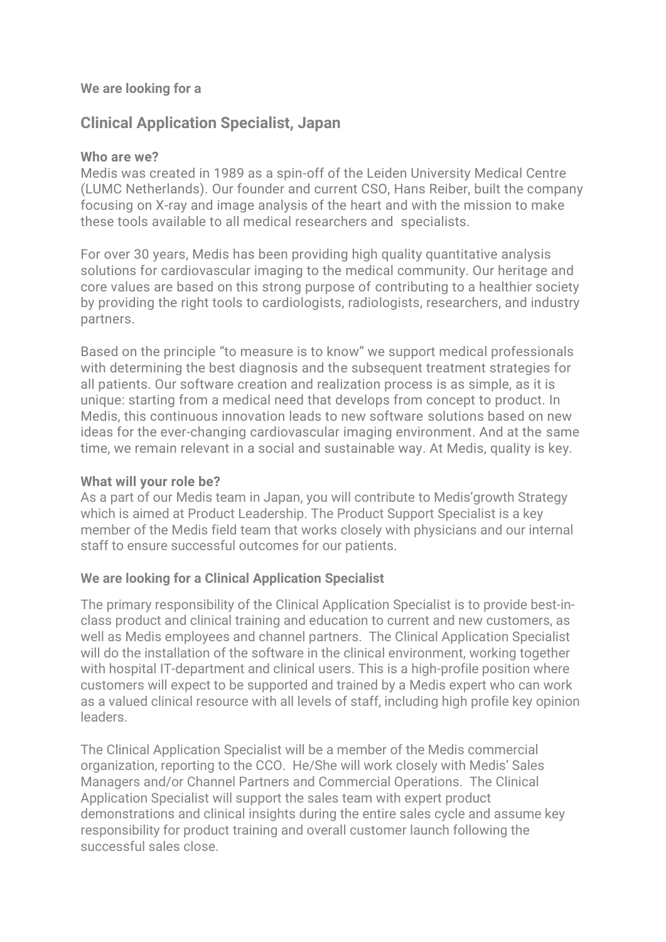#### **We are looking for a**

# **Clinical Application Specialist, Japan**

#### **Who are we?**

Medis was created in 1989 as a spin-off of the Leiden University Medical Centre (LUMC Netherlands). Our founder and current CSO, Hans Reiber, built the company focusing on X-ray and image analysis of the heart and with the mission to make these tools available to all medical researchers and specialists.

For over 30 years, Medis has been providing high quality quantitative analysis solutions for cardiovascular imaging to the medical community. Our heritage and core values are based on this strong purpose of contributing to a healthier society by providing the right tools to cardiologists, radiologists, researchers, and industry partners.

Based on the principle "to measure is to know" we support medical professionals with determining the best diagnosis and the subsequent treatment strategies for all patients. Our software creation and realization process is as simple, as it is unique: starting from a medical need that develops from concept to product. In Medis, this continuous innovation leads to new software solutions based on new ideas for the ever-changing cardiovascular imaging environment. And at the same time, we remain relevant in a social and sustainable way. At Medis, quality is key.

#### **What will your role be?**

As a part of our Medis team in Japan, you will contribute to Medis'growth Strategy which is aimed at Product Leadership. The Product Support Specialist is a key member of the Medis field team that works closely with physicians and our internal staff to ensure successful outcomes for our patients.

#### **We are looking for a Clinical Application Specialist**

The primary responsibility of the Clinical Application Specialist is to provide best-inclass product and clinical training and education to current and new customers, as well as Medis employees and channel partners. The Clinical Application Specialist will do the installation of the software in the clinical environment, working together with hospital IT-department and clinical users. This is a high-profile position where customers will expect to be supported and trained by a Medis expert who can work as a valued clinical resource with all levels of staff, including high profile key opinion leaders.

The Clinical Application Specialist will be a member of the Medis commercial organization, reporting to the CCO. He/She will work closely with Medis' Sales Managers and/or Channel Partners and Commercial Operations. The Clinical Application Specialist will support the sales team with expert product demonstrations and clinical insights during the entire sales cycle and assume key responsibility for product training and overall customer launch following the successful sales close.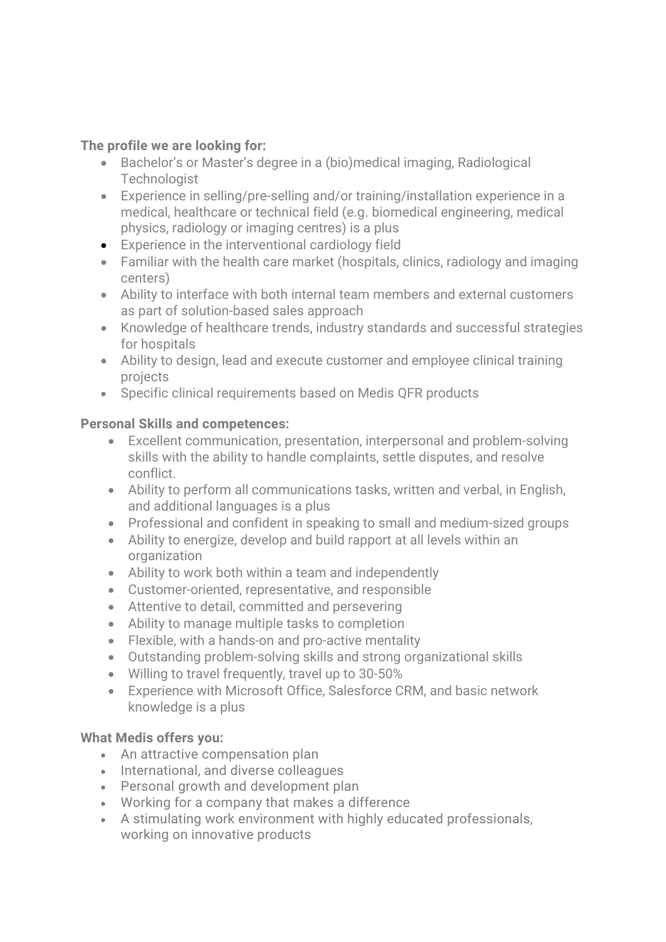### **The profile we are looking for:**

- Bachelor's or Master's degree in a (bio)medical imaging, Radiological **Technologist**
- Experience in selling/pre-selling and/or training/installation experience in a medical, healthcare or technical field (e.g. biomedical engineering, medical physics, radiology or imaging centres) is a plus
- Experience in the interventional cardiology field
- Familiar with the health care market (hospitals, clinics, radiology and imaging centers)
- Ability to interface with both internal team members and external customers as part of solution-based sales approach
- Knowledge of healthcare trends, industry standards and successful strategies for hospitals
- Ability to design, lead and execute customer and employee clinical training projects
- Specific clinical requirements based on Medis QFR products

## **Personal Skills and competences:**

- Excellent communication, presentation, interpersonal and problem-solving skills with the ability to handle complaints, settle disputes, and resolve conflict.
- Ability to perform all communications tasks, written and verbal, in English, and additional languages is a plus
- Professional and confident in speaking to small and medium-sized groups
- Ability to energize, develop and build rapport at all levels within an organization
- Ability to work both within a team and independently
- Customer-oriented, representative, and responsible
- Attentive to detail, committed and persevering
- Ability to manage multiple tasks to completion
- Flexible, with a hands-on and pro-active mentality
- Outstanding problem-solving skills and strong organizational skills
- Willing to travel frequently, travel up to 30-50%
- Experience with Microsoft Office, Salesforce CRM, and basic network knowledge is a plus

#### **What Medis offers you:**

- An attractive compensation plan
- International, and diverse colleagues
- Personal growth and development plan
- Working for a company that makes a difference
- A stimulating work environment with highly educated professionals, working on innovative products